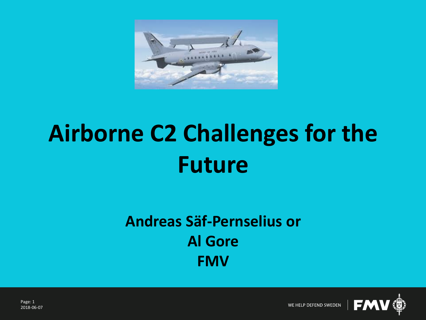

## **Airborne C2 Challenges for the Future**

### **Andreas Säf-Pernselius or Al Gore FMV**

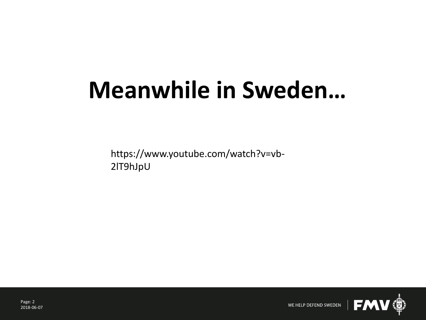## **Meanwhile in Sweden…**

https://www.youtube.com/watch?v=vb-2lT9hJpU

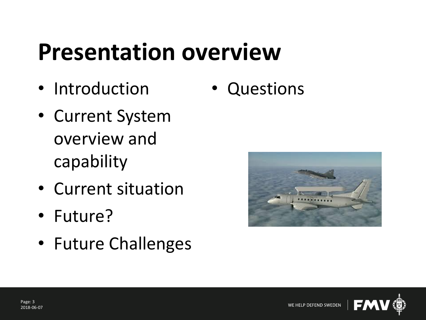### **Presentation overview**

- Introduction
- Current System overview and capability
- Current situation
- Future?
- Future Challenges

• Questions



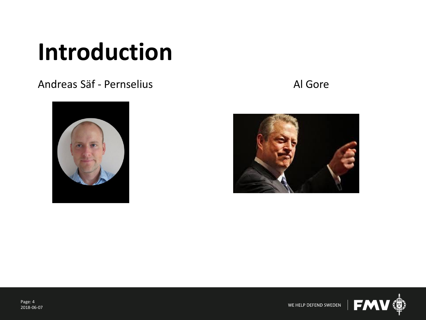### **Introduction**

#### Andreas Säf - Pernselius Andreas Säf - Pernselius Al Gore







Page: 4 2018-06-07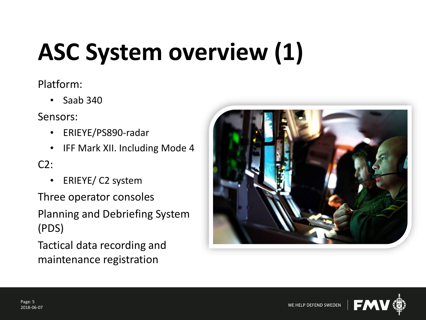# **ASC System overview (1)**

#### Platform:

• Saab 340

Sensors:

- ERIEYE/PS890-radar
- IFF Mark XII. Including Mode 4

 $C2$ :

• ERIEYE/ C2 system

Three operator consoles

Planning and Debriefing System (PDS)

Tactical data recording and maintenance registration



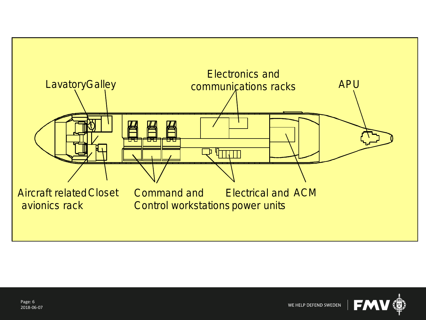

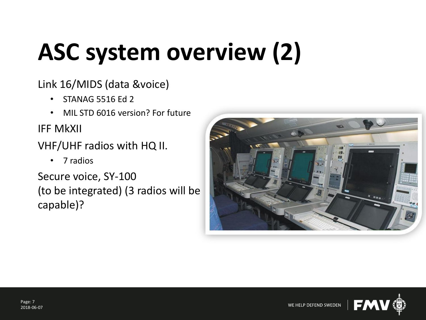# **ASC system overview (2)**

Link 16/MIDS (data &voice)

- STANAG 5516 Ed 2
- MIL STD 6016 version? For future

IFF MkXII

VHF/UHF radios with HQ II.

• 7 radios

Secure voice, SY-100 (to be integrated) (3 radios will be capable)?



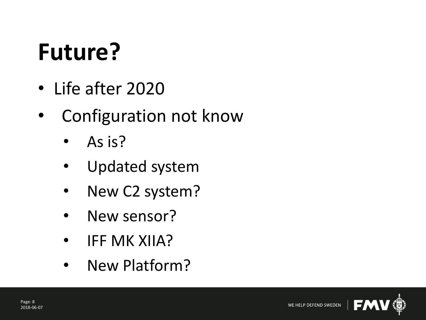## **Future?**

- Life after 2020
- Configuration not know
	- As is?
	- Updated system
	- New C2 system?
	- New sensor?
	- IFF MK XIIA?
	- New Platform?

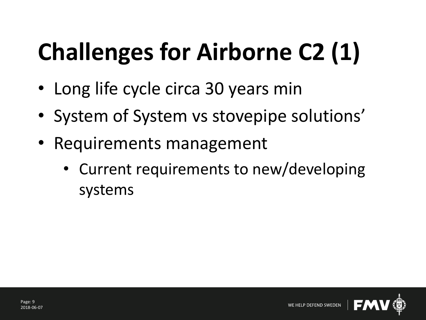# **Challenges for Airborne C2 (1)**

- Long life cycle circa 30 years min
- System of System vs stovepipe solutions'
- Requirements management
	- Current requirements to new/developing systems

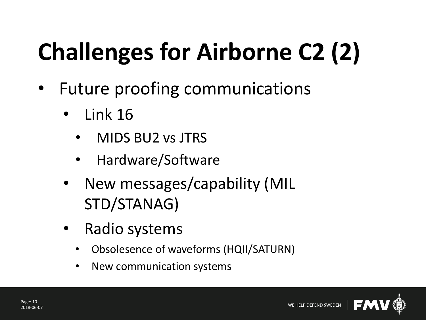# **Challenges for Airborne C2 (2)**

- Future proofing communications
	- Link 16
		- MIDS BU2 vs JTRS
		- Hardware/Software
	- New messages/capability (MIL STD/STANAG)
	- Radio systems
		- Obsolesence of waveforms (HQII/SATURN)
		- New communication systems

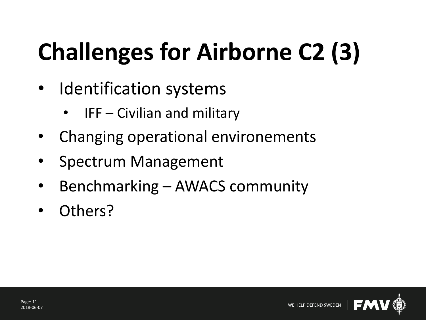# **Challenges for Airborne C2 (3)**

- Identification systems
	- $IFF Civilian$  and military
- Changing operational environements
- Spectrum Management
- Benchmarking AWACS community
- Others?